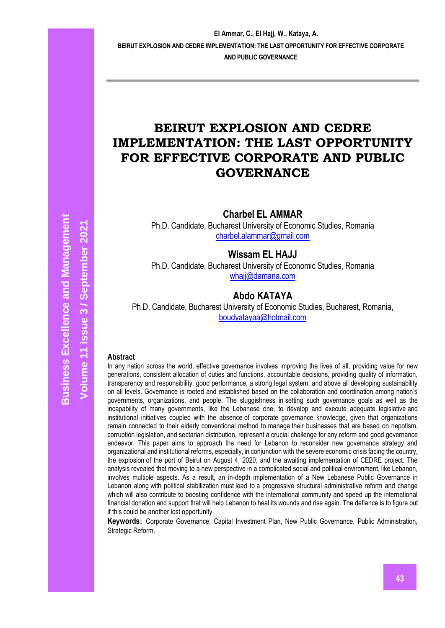# **BEIRUT EXPLOSION AND CEDRE IMPLEMENTATION: THE LAST OPPORTUNITY FOR EFFECTIVE CORPORATE AND PUBLIC GOVERNANCE**

**Charbel EL AMMAR**

Ph.D. Candidate, Bucharest University of Economic Studies, Romania [charbel.alammar@gmail.com](mailto:charbel.alammar@gmail.com)

**Wissam EL HAJJ**

Ph.D. Candidate, Bucharest University of Economic Studies, Romania whaii@damana.com

# **Abdo KATAYA**

Ph.D. Candidate, Bucharest University of Economic Studies, Bucharest, Romania, [boudyatayaa@hotmail.com](mailto:boudyatayaa@hotmail.com)

### **Abstract**

In any nation across the world, effective governance involves improving the lives of all, providing value for new generations, consistent allocation of duties and functions, accountable decisions, providing quality of information, transparency and responsibility, good performance, a strong legal system, and above all developing sustainability on all levels. Governance is rooted and established based on the collaboration and coordination among nation's governments, organizations, and people. The sluggishness in setting such governance goals as well as the incapability of many governments, like the Lebanese one, to develop and execute adequate legislative and institutional initiatives coupled with the absence of corporate governance knowledge, given that organizations remain connected to their elderly conventional method to manage their businesses that are based on nepotism, corruption legislation, and sectarian distribution, represent a crucial challenge for any reform and good governance endeavor. This paper aims to approach the need for Lebanon to reconsider new governance strategy and organizational and institutional reforms, especially, in conjunction with the severe economic crisis facing the country, the explosion of the port of Beirut on August 4, 2020, and the awaiting implementation of CEDRE project. The analysis revealed that moving to a new perspective in a complicated social and political environment, like Lebanon, involves multiple aspects. As a result, an in-depth implementation of a New Lebanese Public Governance in Lebanon along with political stabilization must lead to a progressive structural administrative reform and change which will also contribute to boosting confidence with the international community and speed up the international financial donation and support that will help Lebanon to heal its wounds and rise again. The defiance is to figure out if this could be another lost opportunity.

**Keywords**: Corporate Governance, Capital Investment Plan, New Public Governance, Public Administration, Strategic Reform.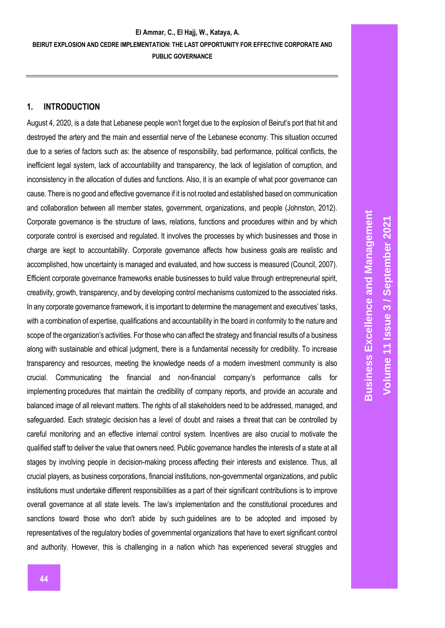### **1. INTRODUCTION**

August 4, 2020, is a date that Lebanese people won't forget due to the explosion of Beirut's port that hit and destroyed the artery and the main and essential nerve of the Lebanese economy. This situation occurred due to a series of factors such as: the absence of responsibility, bad performance, political conflicts, the inefficient legal system, lack of accountability and transparency, the lack of legislation of corruption, and inconsistency in the allocation of duties and functions. Also, it is an example of what poor governance can cause. There is no good and effective governance if it is not rooted and established based on communication and collaboration between all member states, government, organizations, and people (Johnston, 2012). Corporate governance is the structure of laws, relations, functions and procedures within and by which corporate control is exercised and regulated. It involves the processes by which businesses and those in charge are kept to accountability. Corporate governance affects how business goals are realistic and accomplished, how uncertainty is managed and evaluated, and how success is measured (Council, 2007). Efficient corporate governance frameworks enable businesses to build value through entrepreneurial spirit, creativity, growth, transparency, and by developing control mechanisms customized to the associated risks. In any corporate governance framework, it is important to determine the management and executives' tasks, with a combination of expertise, qualifications and accountability in the board in conformity to the nature and scope of the organization's activities. For those who can affect the strategy and financial results of a business along with sustainable and ethical judgment, there is a fundamental necessity for credibility. To increase transparency and resources, meeting the knowledge needs of a modern investment community is also crucial. Communicating the financial and non-financial company's performance calls for implementing procedures that maintain the credibility of company reports, and provide an accurate and balanced image of all relevant matters. The rights of all stakeholders need to be addressed, managed, and safeguarded. Each strategic decision has a level of doubt and raises a threat that can be controlled by careful monitoring and an effective internal control system. Incentives are also crucial to motivate the qualified staff to deliver the value that owners need. Public governance handles the interests of a state at all stages by involving people in decision-making process affecting their interests and existence. Thus, all crucial players, as business corporations, financial institutions, non-governmental organizations, and public institutions must undertake different responsibilities as a part of their significant contributions is to improve overall governance at all state levels. The law's implementation and the constitutional procedures and sanctions toward those who don't abide by such guidelines are to be adopted and imposed by representatives of the regulatory bodies of governmental organizations that have to exert significant control and authority. However, this is challenging in a nation which has experienced several struggles and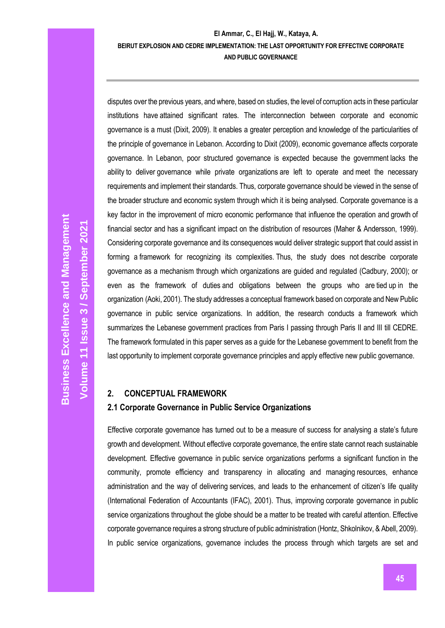disputes over the previous years, and where, based on studies, the level of corruption acts in these particular institutions have attained significant rates. The interconnection between corporate and economic governance is a must (Dixit, 2009). It enables a greater perception and knowledge of the particularities of the principle of governance in Lebanon. According to Dixit (2009), economic governance affects corporate governance. In Lebanon, poor structured governance is expected because the government lacks the ability to deliver governance while private organizations are left to operate and meet the necessary requirements and implement their standards. Thus, corporate governance should be viewed in the sense of the broader structure and economic system through which it is being analysed. Corporate governance is a key factor in the improvement of micro economic performance that influence the operation and growth of financial sector and has a significant impact on the distribution of resources (Maher & Andersson, 1999). Considering corporate governance and its consequences would deliver strategic support that could assist in forming a framework for recognizing its complexities. Thus, the study does not describe corporate governance as a mechanism through which organizations are guided and regulated (Cadbury, 2000); or even as the framework of duties and obligations between the groups who are tied up in the organization (Aoki, 2001). The study addresses a conceptual framework based on corporate and New Public governance in public service organizations. In addition, the research conducts a framework which summarizes the Lebanese government practices from Paris I passing through Paris II and III till CEDRE. The framework formulated in this paper serves as a guide for the Lebanese government to benefit from the last opportunity to implement corporate governance principles and apply effective new public governance.

# **2. CONCEPTUAL FRAMEWORK**

## **2.1 Corporate Governance in Public Service Organizations**

Effective corporate governance has turned out to be a measure of success for analysing a state's future growth and development. Without effective corporate governance, the entire state cannot reach sustainable development. Effective governance in public service organizations performs a significant function in the community, promote efficiency and transparency in allocating and managing resources, enhance administration and the way of delivering services, and leads to the enhancement of citizen's life quality (International Federation of Accountants (IFAC), 2001). Thus, improving corporate governance in public service organizations throughout the globe should be a matter to be treated with careful attention. Effective corporate governance requires a strong structure of public administration (Hontz, Shkolnikov, & Abell, 2009). In public service organizations, governance includes the process through which targets are set and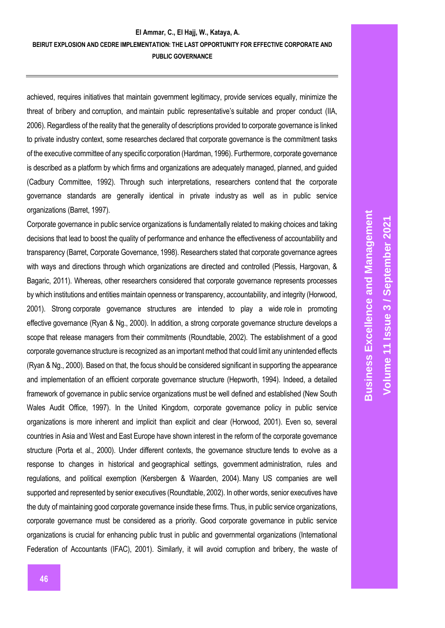achieved, requires initiatives that maintain government legitimacy, provide services equally, minimize the threat of bribery and corruption, and maintain public representative's suitable and proper conduct (IIA, 2006). Regardless of the reality that the generality of descriptions provided to corporate governance is linked to private industry context, some researches declared that corporate governance is the commitment tasks of the executive committee of any specific corporation (Hardman, 1996). Furthermore, corporate governance is described as a platform by which firms and organizations are adequately managed, planned, and guided (Cadbury Committee, 1992). Through such interpretations, researchers contend that the corporate governance standards are generally identical in private industry as well as in public service organizations (Barret, 1997).

Corporate governance in public service organizations is fundamentally related to making choices and taking decisions that lead to boost the quality of performance and enhance the effectiveness of accountability and transparency (Barret, Corporate Governance, 1998). Researchers stated that corporate governance agrees with ways and directions through which organizations are directed and controlled (Plessis, Hargovan, & Bagaric, 2011). Whereas, other researchers considered that corporate governance represents processes by which institutions and entities maintain openness or transparency, accountability, and integrity (Horwood, 2001). Strong corporate governance structures are intended to play a wide role in promoting effective governance (Ryan & Ng., 2000). In addition, a strong corporate governance structure develops a scope that release managers from their commitments (Roundtable, 2002). The establishment of a good corporate governance structure is recognized as an important method that could limit any unintended effects (Ryan & Ng., 2000). Based on that, the focus should be considered significant in supporting the appearance and implementation of an efficient corporate governance structure (Hepworth, 1994). Indeed, a detailed framework of governance in public service organizations must be well defined and established (New South Wales Audit Office, 1997). In the United Kingdom, corporate governance policy in public service organizations is more inherent and implicit than explicit and clear (Horwood, 2001). Even so, several countries in Asia and West and East Europe have shown interest in the reform of the corporate governance structure (Porta et al., 2000). Under different contexts, the governance structure tends to evolve as a response to changes in historical and geographical settings, government administration, rules and regulations, and political exemption (Kersbergen & Waarden, 2004). Many US companies are well supported and represented by senior executives (Roundtable, 2002). In other words, senior executives have the duty of maintaining good corporate governance inside these firms. Thus, in public service organizations, corporate governance must be considered as a priority. Good corporate governance in public service organizations is crucial for enhancing public trust in public and governmental organizations (International Federation of Accountants (IFAC), 2001). Similarly, it will avoid corruption and bribery, the waste of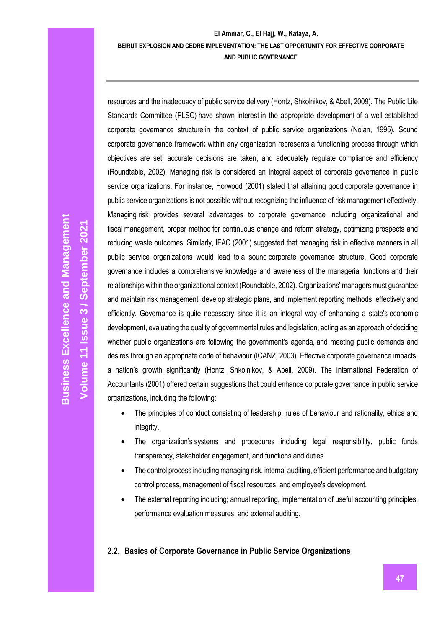resources and the inadequacy of public service delivery (Hontz, Shkolnikov, & Abell, 2009). The Public Life Standards Committee (PLSC) have shown interest in the appropriate development of a well-established corporate governance structure in the context of public service organizations (Nolan, 1995). Sound corporate governance framework within any organization represents a functioning process through which objectives are set, accurate decisions are taken, and adequately regulate compliance and efficiency (Roundtable, 2002). Managing risk is considered an integral aspect of corporate governance in public service organizations. For instance, Horwood (2001) stated that attaining good corporate governance in public service organizations is not possible without recognizing the influence of risk management effectively. Managing risk provides several advantages to corporate governance including organizational and fiscal management, proper method for continuous change and reform strategy, optimizing prospects and reducing waste outcomes. Similarly, IFAC (2001) suggested that managing risk in effective manners in all public service organizations would lead to a sound corporate governance structure. Good corporate governance includes a comprehensive knowledge and awareness of the managerial functions and their relationships within the organizational context (Roundtable, 2002). Organizations' managers must guarantee and maintain risk management, develop strategic plans, and implement reporting methods, effectively and efficiently. Governance is quite necessary since it is an integral way of enhancing a state's economic development, evaluating the quality of governmental rules and legislation, acting as an approach of deciding whether public organizations are following the government's agenda, and meeting public demands and desires through an appropriate code of behaviour (ICANZ, 2003). Effective corporate governance impacts, a nation's growth significantly (Hontz, Shkolnikov, & Abell, 2009). The International Federation of Accountants (2001) offered certain suggestions that could enhance corporate governance in public service organizations, including the following:

- The principles of conduct consisting of leadership, rules of behaviour and rationality, ethics and integrity.
- The organization's systems and procedures including legal responsibility, public funds transparency, stakeholder engagement, and functions and duties.
- The control process including managing risk, internal auditing, efficient performance and budgetary control process, management of fiscal resources, and employee's development.
- The external reporting including; annual reporting, implementation of useful accounting principles, performance evaluation measures, and external auditing.

# **2.2. Basics of Corporate Governance in Public Service Organizations**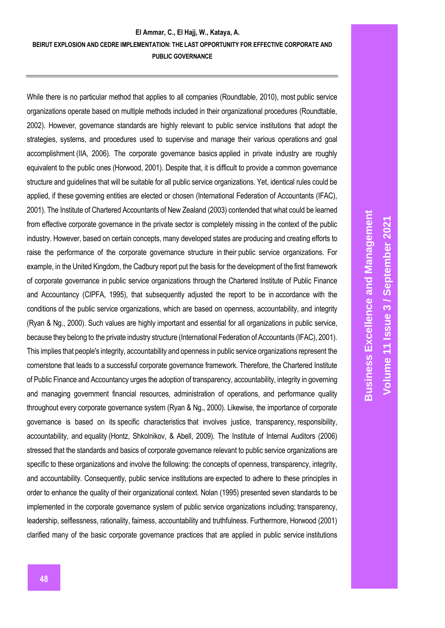While there is no particular method that applies to all companies (Roundtable, 2010), most public service organizations operate based on multiple methods included in their organizational procedures (Roundtable, 2002). However, governance standards are highly relevant to public service institutions that adopt the strategies, systems, and procedures used to supervise and manage their various operations and goal accomplishment (IIA, 2006). The corporate governance basics applied in private industry are roughly equivalent to the public ones (Horwood, 2001). Despite that, it is difficult to provide a common governance structure and guidelines that will be suitable for all public service organizations. Yet, identical rules could be applied, if these governing entities are elected or chosen (International Federation of Accountants (IFAC), 2001). The Institute of Chartered Accountants of New Zealand (2003) contended that what could be learned from effective corporate governance in the private sector is completely missing in the context of the public industry. However, based on certain concepts, many developed states are producing and creating efforts to raise the performance of the corporate governance structure in their public service organizations. For example, in the United Kingdom, the Cadbury report put the basis for the development of the first framework of corporate governance in public service organizations through the Chartered Institute of Public Finance and Accountancy (CIPFA, 1995), that subsequently adjusted the report to be in accordance with the conditions of the public service organizations, which are based on openness, accountability, and integrity (Ryan & Ng., 2000). Such values are highly important and essential for all organizations in public service, because they belong to the private industry structure (International Federation of Accountants (IFAC), 2001). This implies that people's integrity, accountability and openness in public service organizations represent the cornerstone that leads to a successful corporate governance framework. Therefore, the Chartered Institute of Public Finance and Accountancy urges the adoption of transparency, accountability, integrity in governing and managing government financial resources, administration of operations, and performance quality throughout every corporate governance system (Ryan & Ng., 2000). Likewise, the importance of corporate governance is based on its specific characteristics that involves justice, transparency, responsibility, accountability, and equality (Hontz, Shkolnikov, & Abell, 2009). The Institute of Internal Auditors (2006) stressed that the standards and basics of corporate governance relevant to public service organizations are specific to these organizations and involve the following: the concepts of openness, transparency, integrity, and accountability. Consequently, public service institutions are expected to adhere to these principles in order to enhance the quality of their organizational context. Nolan (1995) presented seven standards to be implemented in the corporate governance system of public service organizations including; transparency, leadership, selflessness, rationality, fairness, accountability and truthfulness. Furthermore, Horwood (2001) clarified many of the basic corporate governance practices that are applied in public service institutions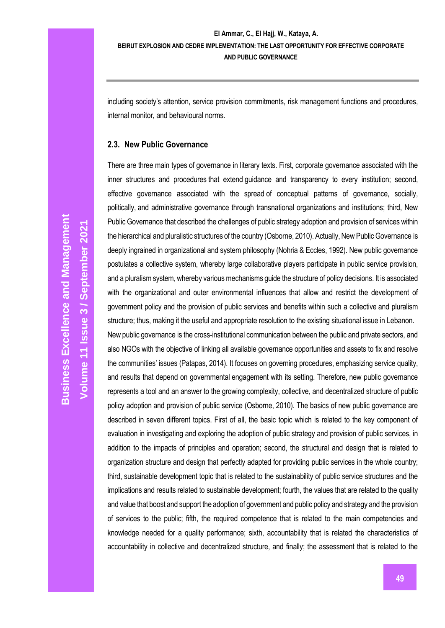including society's attention, service provision commitments, risk management functions and procedures, internal monitor, and behavioural norms.

# **2.3. New Public Governance**

There are three main types of governance in literary texts. First, corporate governance associated with the inner structures and procedures that extend guidance and transparency to every institution; second, effective governance associated with the spread of conceptual patterns of governance, socially, politically, and administrative governance through transnational organizations and institutions; third, New Public Governance that described the challenges of public strategy adoption and provision of services within the hierarchical and pluralistic structures of the country (Osborne, 2010). Actually, New Public Governance is deeply ingrained in organizational and system philosophy (Nohria & Eccles, 1992). New public governance postulates a collective system, whereby large collaborative players participate in public service provision, and a pluralism system, whereby various mechanisms guide the structure of policy decisions. It is associated with the organizational and outer environmental influences that allow and restrict the development of government policy and the provision of public services and benefits within such a collective and pluralism structure; thus, making it the useful and appropriate resolution to the existing situational issue in Lebanon.

New public governance is the cross-institutional communication between the public and private sectors, and also NGOs with the objective of linking all available governance opportunities and assets to fix and resolve the communities' issues (Patapas, 2014). It focuses on governing procedures, emphasizing service quality, and results that depend on governmental engagement with its setting. Therefore, new public governance represents a tool and an answer to the growing complexity, collective, and decentralized structure of public policy adoption and provision of public service (Osborne, 2010). The basics of new public governance are described in seven different topics. First of all, the basic topic which is related to the key component of evaluation in investigating and exploring the adoption of public strategy and provision of public services, in addition to the impacts of principles and operation; second, the structural and design that is related to organization structure and design that perfectly adapted for providing public services in the whole country; third, sustainable development topic that is related to the sustainability of public service structures and the implications and results related to sustainable development; fourth, the values that are related to the quality and value that boost and support the adoption of government and public policy and strategy and the provision of services to the public; fifth, the required competence that is related to the main competencies and knowledge needed for a quality performance; sixth, accountability that is related the characteristics of accountability in collective and decentralized structure, and finally; the assessment that is related to the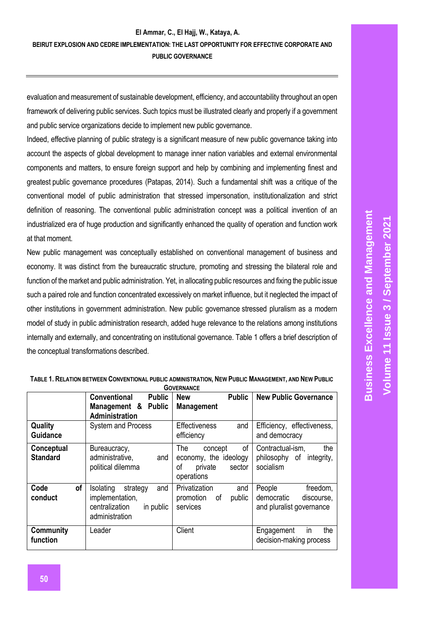evaluation and measurement of sustainable development, efficiency, and accountability throughout an open framework of delivering public services. Such topics must be illustrated clearly and properly if a government and public service organizations decide to implement new public governance.

Indeed, effective planning of public strategy is a significant measure of new public governance taking into account the aspects of global development to manage inner nation variables and external environmental components and matters, to ensure foreign support and help by combining and implementing finest and greatest public governance procedures (Patapas, 2014). Such a fundamental shift was a critique of the conventional model of public administration that stressed impersonation, institutionalization and strict definition of reasoning. The conventional public administration concept was a political invention of an industrialized era of huge production and significantly enhanced the quality of operation and function work at that moment.

New public management was conceptually established on conventional management of business and economy. It was distinct from the bureaucratic structure, promoting and stressing the bilateral role and function of the market and public administration. Yet, in allocating public resources and fixing the public issue such a paired role and function concentrated excessively on market influence, but it neglected the impact of other institutions in government administration. New public governance stressed pluralism as a modern model of study in public administration research, added huge relevance to the relations among institutions internally and externally, and concentrating on institutional governance. Table 1 offers a brief description of the conceptual transformations described.

|                               | <b>Conventional</b><br><b>Public</b><br>Management & Public<br>Administration                    | <b>New</b><br><b>Public</b><br><b>Management</b>                                       | <b>New Public Governance</b>                                               |
|-------------------------------|--------------------------------------------------------------------------------------------------|----------------------------------------------------------------------------------------|----------------------------------------------------------------------------|
| Quality<br><b>Guidance</b>    | <b>System and Process</b>                                                                        | <b>Effectiveness</b><br>and<br>efficiency                                              | Efficiency, effectiveness,<br>and democracy                                |
| Conceptual<br><b>Standard</b> | Bureaucracy,<br>administrative,<br>and<br>political dilemma                                      | 0f<br>The<br>concept<br>economy, the ideology<br>οf<br>private<br>sector<br>operations | the<br>Contractual-ism.<br>philosophy of integrity,<br>socialism           |
| of<br>Code<br>conduct         | and<br>Isolating<br>strategy<br>implementation,<br>centralization<br>in public<br>administration | Privatization<br>and<br>promotion<br>public<br>οf<br>services                          | People<br>freedom,<br>democratic<br>discourse,<br>and pluralist governance |
| <b>Community</b><br>function  | Leader                                                                                           | Client                                                                                 | the<br>in<br>Engagement<br>decision-making process                         |

#### TABLE 1. RELATION BETWEEN CONVENTIONAL PUBLIC ADMINISTRATION, NEW PUBLIC MANAGEMENT, AND NEW PUBLIC **GOVERNANCE**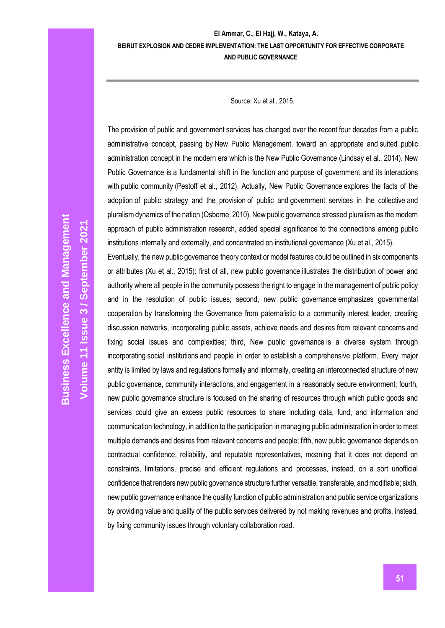Source: Xu et al., 2015.

The provision of public and government services has changed over the recent four decades from a public administrative concept, passing by New Public Management, toward an appropriate and suited public administration concept in the modern era which is the New Public Governance (Lindsay et al., 2014). New Public Governance is a fundamental shift in the function and purpose of government and its interactions with public community (Pestoff et al., 2012). Actually, New Public Governance explores the facts of the adoption of public strategy and the provision of public and government services in the collective and pluralism dynamics of the nation (Osborne, 2010). New public governance stressed pluralism as the modern approach of public administration research, added special significance to the connections among public institutions internally and externally, and concentrated on institutional governance (Xu et al., 2015).

Eventually, the new public governance theory context or model features could be outlined in six components or attributes (Xu et al., 2015): first of all, new public governance illustrates the distribution of power and authority where all people in the community possess the right to engage in the management of public policy and in the resolution of public issues; second, new public governance emphasizes governmental cooperation by transforming the Governance from paternalistic to a community interest leader, creating discussion networks, incorporating public assets, achieve needs and desires from relevant concerns and fixing social issues and complexities; third, New public governance is a diverse system through incorporating social institutions and people in order to establish a comprehensive platform. Every major entity is limited by laws and regulations formally and informally, creating an interconnected structure of new public governance, community interactions, and engagement in a reasonably secure environment; fourth, new public governance structure is focused on the sharing of resources through which public goods and services could give an excess public resources to share including data, fund, and information and communication technology, in addition to the participation in managing public administration in order to meet multiple demands and desires from relevant concerns and people; fifth, new public governance depends on contractual confidence, reliability, and reputable representatives, meaning that it does not depend on constraints, limitations, precise and efficient regulations and processes, instead, on a sort unofficial confidence that renders new public governance structure further versatile, transferable, and modifiable; sixth, new public governance enhance the quality function of public administration and public service organizations by providing value and quality of the public services delivered by not making revenues and profits, instead, by fixing community issues through voluntary collaboration road.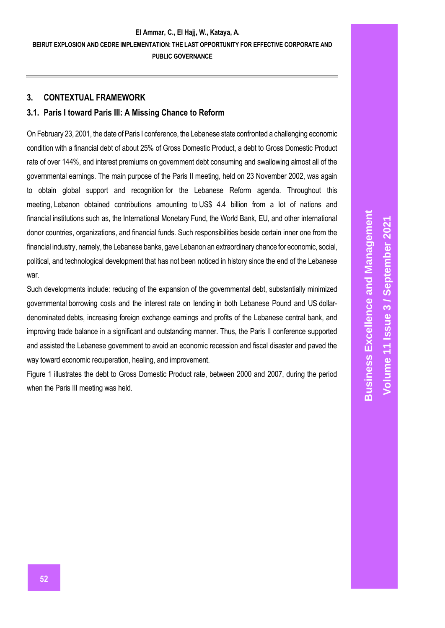# **3. CONTEXTUAL FRAMEWORK**

# **3.1. Paris I toward Paris III: A Missing Chance to Reform**

On February 23, 2001, the date of Paris I conference, the Lebanese state confronted a challenging economic condition with a financial debt of about 25% of Gross Domestic Product, a debt to Gross Domestic Product rate of over 144%, and interest premiums on government debt consuming and swallowing almost all of the governmental earnings. The main purpose of the Paris II meeting, held on 23 November 2002, was again to obtain global support and recognition for the Lebanese Reform agenda. Throughout this meeting, Lebanon obtained contributions amounting to US\$ 4.4 billion from a lot of nations and financial institutions such as, the International Monetary Fund, the World Bank, EU, and other international donor countries, organizations, and financial funds. Such responsibilities beside certain inner one from the financial industry, namely, the Lebanese banks, gave Lebanon an extraordinary chance for economic, social, political, and technological development that has not been noticed in history since the end of the Lebanese war.

Such developments include: reducing of the expansion of the governmental debt, substantially minimized governmental borrowing costs and the interest rate on lending in both Lebanese Pound and US dollardenominated debts, increasing foreign exchange earnings and profits of the Lebanese central bank, and improving trade balance in a significant and outstanding manner. Thus, the Paris II conference supported and assisted the Lebanese government to avoid an economic recession and fiscal disaster and paved the way toward economic recuperation, healing, and improvement.

Figure 1 illustrates the debt to Gross Domestic Product rate, between 2000 and 2007, during the period when the Paris III meeting was held.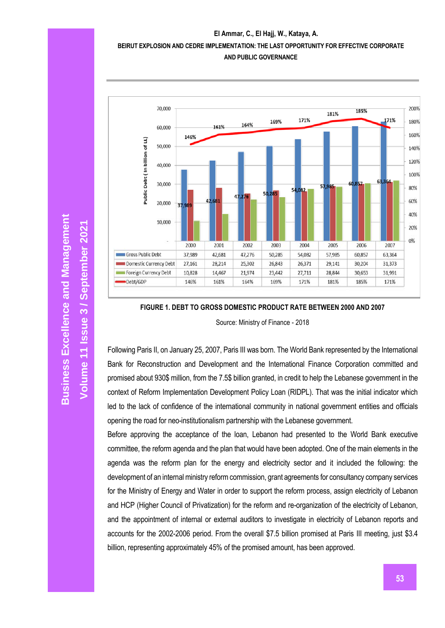### **El Ammar, C., El Hajj, W., Kataya, A.**

# **BEIRUT EXPLOSION AND CEDRE IMPLEMENTATION: THE LAST OPPORTUNITY FOR EFFECTIVE CORPORATE**



## **AND PUBLIC GOVERNANCE**

### **FIGURE 1. DEBT TO GROSS DOMESTIC PRODUCT RATE BETWEEN 2000 AND 2007**

Source: Ministry of Finance - 2018

Following Paris II, on January 25, 2007, Paris III was born. The World Bank represented by the International Bank for Reconstruction and Development and the International Finance Corporation committed and promised about 930\$ million, from the 7.5\$ billion granted, in credit to help the Lebanese government in the context of Reform Implementation Development Policy Loan (RIDPL). That was the initial indicator which led to the lack of confidence of the international community in national government entities and officials opening the road for neo-institutionalism partnership with the Lebanese government.

Before approving the acceptance of the loan, Lebanon had presented to the World Bank executive committee, the reform agenda and the plan that would have been adopted. One of the main elements in the agenda was the reform plan for the energy and electricity sector and it included the following: the development of an internal ministry reform commission, grant agreements for consultancy company services for the Ministry of Energy and Water in order to support the reform process, assign electricity of Lebanon and HCP (Higher Council of Privatization) for the reform and re-organization of the electricity of Lebanon, and the appointment of internal or external auditors to investigate in electricity of Lebanon reports and accounts for the 2002-2006 period. From the overall \$7.5 billion promised at Paris III meeting, just \$3.4 billion, representing approximately 45% of the promised amount, has been approved.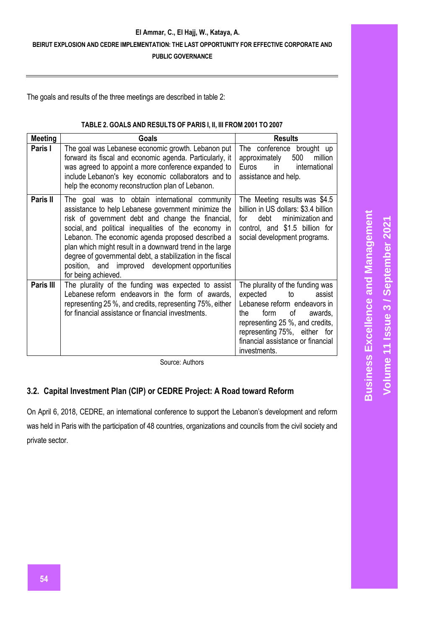### **El Ammar, C., El Hajj, W., Kataya, A.**

# **BEIRUT EXPLOSION AND CEDRE IMPLEMENTATION: THE LAST OPPORTUNITY FOR EFFECTIVE CORPORATE AND**

**PUBLIC GOVERNANCE**

The goals and results of the three meetings are described in table 2:

### **TABLE 2. GOALS AND RESULTS OF PARIS I, II, III FROM 2001 TO 2007**

| <b>Meeting</b> | Goals                                                                                                                                                                                                                                                                                                                                                                                                                                                                        | <b>Results</b>                                                                                                                                                                                                                                       |  |  |
|----------------|------------------------------------------------------------------------------------------------------------------------------------------------------------------------------------------------------------------------------------------------------------------------------------------------------------------------------------------------------------------------------------------------------------------------------------------------------------------------------|------------------------------------------------------------------------------------------------------------------------------------------------------------------------------------------------------------------------------------------------------|--|--|
| Paris I        | The goal was Lebanese economic growth. Lebanon put<br>forward its fiscal and economic agenda. Particularly, it<br>was agreed to appoint a more conference expanded to<br>include Lebanon's key economic collaborators and to<br>help the economy reconstruction plan of Lebanon.                                                                                                                                                                                             | The conference brought up<br>500<br>million<br>approximately<br>Euros in<br>international<br>assistance and help.                                                                                                                                    |  |  |
| Paris II       | The goal was to obtain international community<br>assistance to help Lebanese government minimize the<br>risk of government debt and change the financial,<br>social, and political inequalities of the economy in<br>Lebanon. The economic agenda proposed described a<br>plan which might result in a downward trend in the large<br>degree of governmental debt, a stabilization in the fiscal<br>position, and improved development opportunities<br>for being achieved. | The Meeting results was \$4.5<br>billion in US dollars: \$3.4 billion<br>minimization and<br>debt<br>tor<br>control, and \$1.5 billion for<br>social development programs.                                                                           |  |  |
| Paris III      | The plurality of the funding was expected to assist<br>Lebanese reform endeavors in the form of awards,<br>representing 25 %, and credits, representing 75%, either<br>for financial assistance or financial investments.                                                                                                                                                                                                                                                    | The plurality of the funding was<br>expected<br>to<br>assist<br>Lebanese reform endeavors in<br>form<br>of<br>the<br>awards,<br>representing 25 %, and credits,<br>representing 75%, either for<br>financial assistance or financial<br>investments. |  |  |

Source: Authors

# **3.2. Capital Investment Plan (CIP) or CEDRE Project: A Road toward Reform**

On April 6, 2018, CEDRE, an international conference to support the Lebanon's development and reform was held in Paris with the participation of 48 countries, organizations and councils from the civil society and private sector.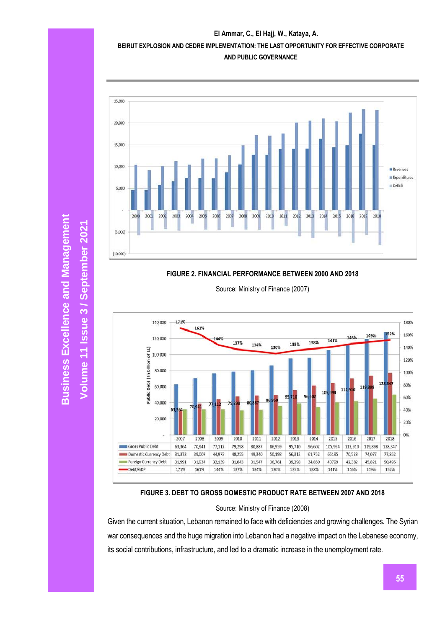



### **FIGURE 2. FINANCIAL PERFORMANCE BETWEEN 2000 AND 2018**

Source: Ministry of Finance (2007)



### **FIGURE 3. DEBT TO GROSS DOMESTIC PRODUCT RATE BETWEEN 2007 AND 2018**

Source: Ministry of Finance (2008)

Given the current situation, Lebanon remained to face with deficiencies and growing challenges. The Syrian war consequences and the huge migration into Lebanon had a negative impact on the Lebanese economy, its social contributions, infrastructure, and led to a dramatic increase in the unemployment rate.

**Business Excellence and Management Business Excellence and Management** Volume 11 Issue 3 / September 2021 **/ September 2021**

**Volume 11 Issue**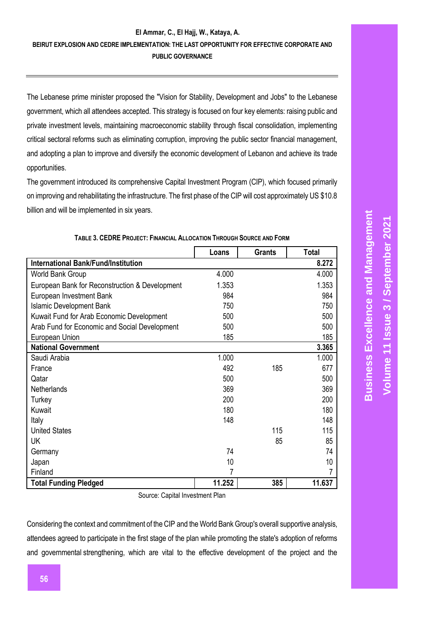The Lebanese prime minister proposed the "Vision for Stability, Development and Jobs" to the Lebanese government, which all attendees accepted. This strategy is focused on four key elements: raising public and private investment levels, maintaining macroeconomic stability through fiscal consolidation, implementing critical sectoral reforms such as eliminating corruption, improving the public sector financial management, and adopting a plan to improve and diversify the economic development of Lebanon and achieve its trade opportunities.

The government introduced its comprehensive Capital Investment Program (CIP), which focused primarily on improving and rehabilitating the infrastructure. The first phase of the CIP will cost approximately US \$10.8 billion and will be implemented in six years.

|                                                | Loans  | <b>Grants</b> | <b>Total</b> |
|------------------------------------------------|--------|---------------|--------------|
| <b>International Bank/Fund/Institution</b>     |        |               | 8.272        |
| World Bank Group                               | 4.000  |               | 4.000        |
| European Bank for Reconstruction & Development | 1.353  |               | 1.353        |
| European Investment Bank                       | 984    |               | 984          |
| <b>Islamic Development Bank</b>                | 750    |               | 750          |
| Kuwait Fund for Arab Economic Development      | 500    |               | 500          |
| Arab Fund for Economic and Social Development  | 500    |               | 500          |
| European Union                                 | 185    |               | 185          |
| <b>National Government</b>                     |        |               | 3.365        |
| Saudi Arabia                                   | 1.000  |               | 1.000        |
| France                                         | 492    | 185           | 677          |
| Qatar                                          | 500    |               | 500          |
| Netherlands                                    | 369    |               | 369          |
| Turkey                                         | 200    |               | 200          |
| Kuwait                                         | 180    |               | 180          |
| Italy                                          | 148    |               | 148          |
| <b>United States</b>                           |        | 115           | 115          |
| <b>UK</b>                                      |        | 85            | 85           |
| Germany                                        | 74     |               | 74           |
| Japan                                          | 10     |               | 10           |
| Finland                                        | 7      |               |              |
| <b>Total Funding Pledged</b>                   | 11.252 | 385           | 11.637       |

#### **TABLE 3. CEDRE PROJECT: FINANCIAL ALLOCATION THROUGH SOURCE AND FORM**

Source: Capital Investment Plan

Considering the context and commitment of the CIP and the World Bank Group's overall supportive analysis, attendees agreed to participate in the first stage of the plan while promoting the state's adoption of reforms and governmental strengthening, which are vital to the effective development of the project and the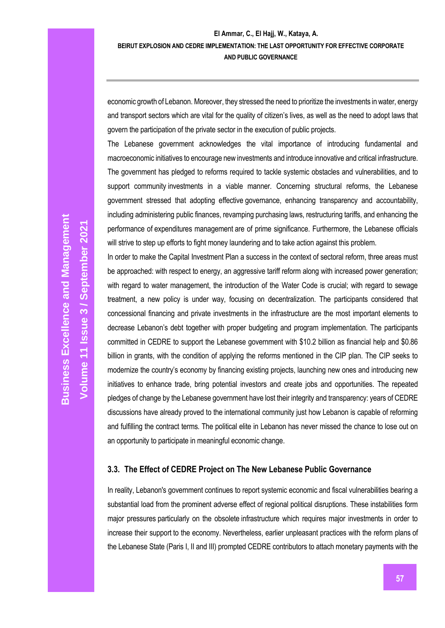economic growth of Lebanon. Moreover, they stressed the need to prioritize the investments in water, energy and transport sectors which are vital for the quality of citizen's lives, as well as the need to adopt laws that govern the participation of the private sector in the execution of public projects.

The Lebanese government acknowledges the vital importance of introducing fundamental and macroeconomic initiatives to encourage new investments and introduce innovative and critical infrastructure. The government has pledged to reforms required to tackle systemic obstacles and vulnerabilities, and to support community investments in a viable manner. Concerning structural reforms, the Lebanese government stressed that adopting effective governance, enhancing transparency and accountability, including administering public finances, revamping purchasing laws, restructuring tariffs, and enhancing the performance of expenditures management are of prime significance. Furthermore, the Lebanese officials will strive to step up efforts to fight money laundering and to take action against this problem.

In order to make the Capital Investment Plan a success in the context of sectoral reform, three areas must be approached: with respect to energy, an aggressive tariff reform along with increased power generation; with regard to water management, the introduction of the Water Code is crucial; with regard to sewage treatment, a new policy is under way, focusing on decentralization. The participants considered that concessional financing and private investments in the infrastructure are the most important elements to decrease Lebanon's debt together with proper budgeting and program implementation. The participants committed in CEDRE to support the Lebanese government with \$10.2 billion as financial help and \$0.86 billion in grants, with the condition of applying the reforms mentioned in the CIP plan. The CIP seeks to modernize the country's economy by financing existing projects, launching new ones and introducing new initiatives to enhance trade, bring potential investors and create jobs and opportunities. The repeated pledges of change by the Lebanese government have lost their integrity and transparency: years of CEDRE discussions have already proved to the international community just how Lebanon is capable of reforming and fulfilling the contract terms. The political elite in Lebanon has never missed the chance to lose out on an opportunity to participate in meaningful economic change.

# **3.3. The Effect of CEDRE Project on The New Lebanese Public Governance**

In reality, Lebanon's government continues to report systemic economic and fiscal vulnerabilities bearing a substantial load from the prominent adverse effect of regional political disruptions. These instabilities form major pressures particularly on the obsolete infrastructure which requires major investments in order to increase their support to the economy. Nevertheless, earlier unpleasant practices with the reform plans of the Lebanese State (Paris I, II and III) prompted CEDRE contributors to attach monetary payments with the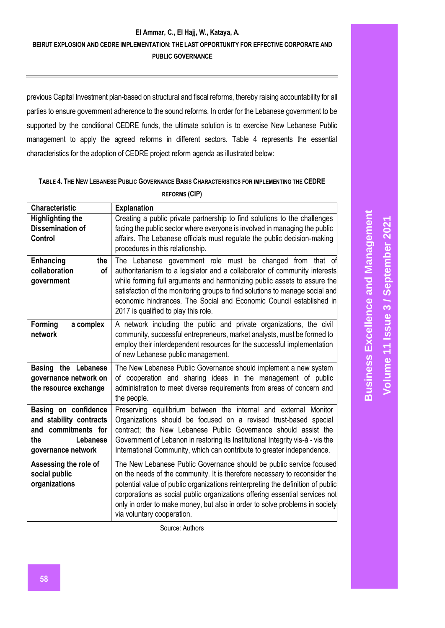previous Capital Investment plan-based on structural and fiscal reforms, thereby raising accountability for all parties to ensure government adherence to the sound reforms. In order for the Lebanese government to be supported by the conditional CEDRE funds, the ultimate solution is to exercise New Lebanese Public management to apply the agreed reforms in different sectors. Table 4 represents the essential characteristics for the adoption of CEDRE project reform agenda as illustrated below:

# **TABLE 4. THE NEW LEBANESE PUBLIC GOVERNANCE BASIS CHARACTERISTICS FOR IMPLEMENTING THE CEDRE REFORMS (CIP)**

| <b>Characteristic</b>                                                                                           | <b>Explanation</b>                                                                                                                                                                                                                                                                                                                                                                                                               |
|-----------------------------------------------------------------------------------------------------------------|----------------------------------------------------------------------------------------------------------------------------------------------------------------------------------------------------------------------------------------------------------------------------------------------------------------------------------------------------------------------------------------------------------------------------------|
| <b>Highlighting the</b><br><b>Dissemination of</b><br>Control                                                   | Creating a public private partnership to find solutions to the challenges<br>facing the public sector where everyone is involved in managing the public<br>affairs. The Lebanese officials must regulate the public decision-making<br>procedures in this relationship.                                                                                                                                                          |
| Enhancing<br>the<br>collaboration<br>of<br>government                                                           | The Lebanese government role must be changed from<br>that of<br>authoritarianism to a legislator and a collaborator of community interests<br>while forming full arguments and harmonizing public assets to assure the<br>satisfaction of the monitoring groups to find solutions to manage social and<br>economic hindrances. The Social and Economic Council established in<br>2017 is qualified to play this role.            |
| Forming<br>a complex<br>network                                                                                 | A network including the public and private organizations, the civil<br>community, successful entrepreneurs, market analysts, must be formed to<br>employ their interdependent resources for the successful implementation<br>of new Lebanese public management.                                                                                                                                                                  |
| Basing the Lebanese<br>governance network on<br>the resource exchange                                           | The New Lebanese Public Governance should implement a new system<br>of cooperation and sharing ideas in the management of public<br>administration to meet diverse requirements from areas of concern and<br>the people.                                                                                                                                                                                                         |
| Basing on confidence<br>and stability contracts<br>and commitments for<br>the<br>Lebanese<br>governance network | Preserving equilibrium between the internal and external Monitor<br>Organizations should be focused on a revised trust-based special<br>contract; the New Lebanese Public Governance should assist the<br>Government of Lebanon in restoring its Institutional Integrity vis-à - vis the<br>International Community, which can contribute to greater independence.                                                               |
| Assessing the role of<br>social public<br>organizations                                                         | The New Lebanese Public Governance should be public service focused<br>on the needs of the community. It is therefore necessary to reconsider the<br>potential value of public organizations reinterpreting the definition of public<br>corporations as social public organizations offering essential services not<br>only in order to make money, but also in order to solve problems in society<br>via voluntary cooperation. |

Source: Authors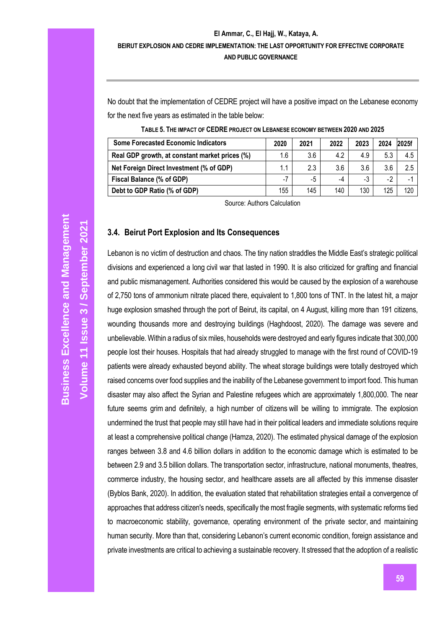No doubt that the implementation of CEDRE project will have a positive impact on the Lebanese economy for the next five years as estimated in the table below:

| <b>Some Forecasted Economic Indicators</b>     |     | 2021 | 2022 | 2023 | 2024 | <b>2025f</b> |
|------------------------------------------------|-----|------|------|------|------|--------------|
| Real GDP growth, at constant market prices (%) | 1.6 | 3.6  | 4.2  | 4.9  | 5.3  | 4.5          |
| Net Foreign Direct Investment (% of GDP)       | 1.1 | 2.3  | 3.6  | 3.6  | 3.6  | 2.5          |
| Fiscal Balance (% of GDP)                      | - 1 | -5   | -4   | -3   | $-2$ |              |
| Debt to GDP Ratio (% of GDP)                   |     | 145  | 140  | 130  | 125  | 120          |

**TABLE 5. THE IMPACT OF CEDRE PROJECT ON LEBANESE ECONOMY BETWEEN 2020 AND 2025**

Source: Authors Calculation

### **3.4. Beirut Port Explosion and Its Consequences**

Lebanon is no victim of destruction and chaos. The tiny nation straddles the Middle East's strategic political divisions and experienced a long civil war that lasted in 1990. It is also criticized for grafting and financial and public mismanagement. Authorities considered this would be caused by the explosion of a warehouse of 2,750 tons of ammonium nitrate placed there, equivalent to 1,800 tons of TNT. In the latest hit, a major huge explosion smashed through the port of Beirut, its capital, on 4 August, killing more than 191 citizens, wounding thousands more and destroying buildings (Haghdoost, 2020). The damage was severe and unbelievable. Within a radius of six miles, households were destroyed and early figures indicate that 300,000 people lost their houses. Hospitals that had already struggled to manage with the first round of COVID-19 patients were already exhausted beyond ability. The wheat storage buildings were totally destroyed which raised concerns over food supplies and the inability of the Lebanese government to import food. This human disaster may also affect the Syrian and Palestine refugees which are approximately 1,800,000. The near future seems grim and definitely, a high number of citizens will be willing to immigrate. The explosion undermined the trust that people may still have had in their political leaders and immediate solutions require at least a comprehensive political change (Hamza, 2020). The estimated physical damage of the explosion ranges between 3.8 and 4.6 billion dollars in addition to the economic damage which is estimated to be between 2.9 and 3.5 billion dollars. The transportation sector, infrastructure, national monuments, theatres, commerce industry, the housing sector, and healthcare assets are all affected by this immense disaster (Byblos Bank, 2020). In addition, the evaluation stated that rehabilitation strategies entail a convergence of approaches that address citizen's needs, specifically the most fragile segments, with systematic reforms tied to macroeconomic stability, governance, operating environment of the private sector, and maintaining human security. More than that, considering Lebanon's current economic condition, foreign assistance and private investments are critical to achieving a sustainable recovery. It stressed that the adoption of a realistic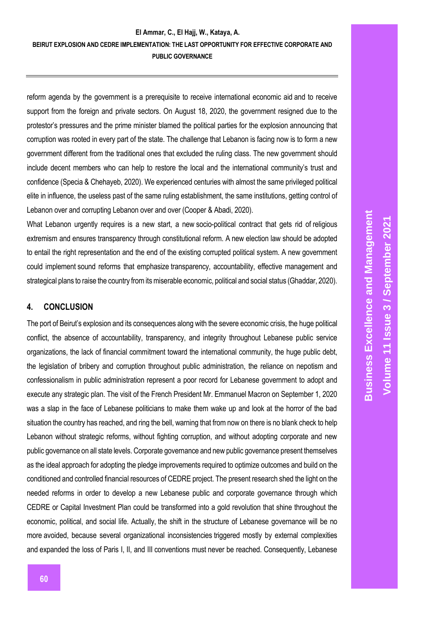reform agenda by the government is a prerequisite to receive international economic aid and to receive support from the foreign and private sectors. On August 18, 2020, the government resigned due to the protestor's pressures and the prime minister blamed the political parties for the explosion announcing that corruption was rooted in every part of the state. The challenge that Lebanon is facing now is to form a new government different from the traditional ones that excluded the ruling class. The new government should include decent members who can help to restore the local and the international community's trust and confidence (Specia & Chehayeb, 2020). We experienced centuries with almost the same privileged political elite in influence, the useless past of the same ruling establishment, the same institutions, getting control of Lebanon over and corrupting Lebanon over and over (Cooper & Abadi, 2020).

What Lebanon urgently requires is a new start, a new socio-political contract that gets rid of religious extremism and ensures transparency through constitutional reform. A new election law should be adopted to entail the right representation and the end of the existing corrupted political system. A new government could implement sound reforms that emphasize transparency, accountability, effective management and strategical plans to raise the country from its miserable economic, political and social status (Ghaddar, 2020).

## **4. CONCLUSION**

The port of Beirut's explosion and its consequences along with the severe economic crisis, the huge political conflict, the absence of accountability, transparency, and integrity throughout Lebanese public service organizations, the lack of financial commitment toward the international community, the huge public debt, the legislation of bribery and corruption throughout public administration, the reliance on nepotism and confessionalism in public administration represent a poor record for Lebanese government to adopt and execute any strategic plan. The visit of the French President Mr. Emmanuel Macron on September 1, 2020 was a slap in the face of Lebanese politicians to make them wake up and look at the horror of the bad situation the country has reached, and ring the bell, warning that from now on there is no blank check to help Lebanon without strategic reforms, without fighting corruption, and without adopting corporate and new public governance on all state levels. Corporate governance and new public governance present themselves as the ideal approach for adopting the pledge improvements required to optimize outcomes and build on the conditioned and controlled financial resources of CEDRE project. The present research shed the light on the needed reforms in order to develop a new Lebanese public and corporate governance through which CEDRE or Capital Investment Plan could be transformed into a gold revolution that shine throughout the economic, political, and social life. Actually, the shift in the structure of Lebanese governance will be no more avoided, because several organizational inconsistencies triggered mostly by external complexities and expanded the loss of Paris I, II, and III conventions must never be reached. Consequently, Lebanese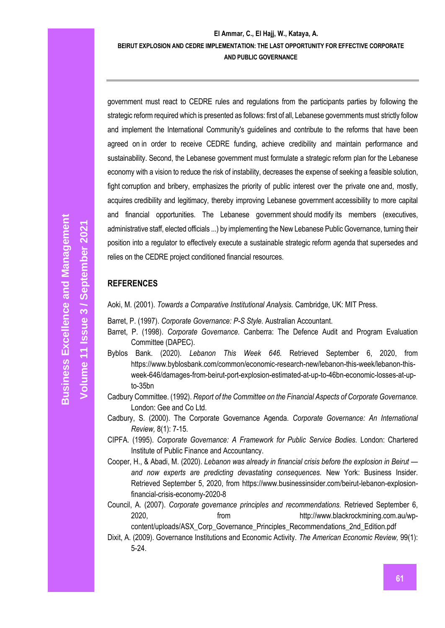government must react to CEDRE rules and regulations from the participants parties by following the strategic reform required which is presented as follows: first of all, Lebanese governments must strictly follow and implement the International Community's guidelines and contribute to the reforms that have been agreed on in order to receive CEDRE funding, achieve credibility and maintain performance and sustainability. Second, the Lebanese government must formulate a strategic reform plan for the Lebanese economy with a vision to reduce the risk of instability, decreases the expense of seeking a feasible solution, fight corruption and bribery, emphasizes the priority of public interest over the private one and, mostly, acquires credibility and legitimacy, thereby improving Lebanese government accessibility to more capital and financial opportunities. The Lebanese government should modify its members (executives, administrative staff, elected officials ...) by implementing the New Lebanese Public Governance, turning their position into a regulator to effectively execute a sustainable strategic reform agenda that supersedes and relies on the CEDRE project conditioned financial resources.

# **REFERENCES**

Aoki, M. (2001). *Towards a Comparative Institutional Analysis.* Cambridge, UK: MIT Press.

Barret, P. (1997). *Corporate Governance: P-S Style.* Australian Accountant.

- Barret, P. (1998). *Corporate Governance.* Canberra: The Defence Audit and Program Evaluation Committee (DAPEC).
- Byblos Bank. (2020). *Lebanon This Week 646.* Retrieved September 6, 2020, from https://www.byblosbank.com/common/economic-research-new/lebanon-this-week/lebanon-thisweek-646/damages-from-beirut-port-explosion-estimated-at-up-to-46bn-economic-losses-at-upto-35bn
- Cadbury Committee. (1992). *Report of the Committee on the Financial Aspects of Corporate Governance.* London: Gee and Co Ltd.
- Cadbury, S. (2000). The Corporate Governance Agenda. *Corporate Governance: An International Review,* 8(1): 7-15.
- CIPFA. (1995). *Corporate Governance: A Framework for Public Service Bodies.* London: Chartered Institute of Public Finance and Accountancy.
- Cooper, H., & Abadi, M. (2020). *Lebanon was already in financial crisis before the explosion in Beirut and now experts are predicting devastating consequences.* New York: Business Insider. Retrieved September 5, 2020, from https://www.businessinsider.com/beirut-lebanon-explosionfinancial-crisis-economy-2020-8

Council, A. (2007). *Corporate governance principles and recommendations.* Retrieved September 6, 2020, from http://www.blackrockmining.com.au/wp-

content/uploads/ASX\_Corp\_Governance\_Principles\_Recommendations\_2nd\_Edition.pdf Dixit, A. (2009). Governance Institutions and Economic Activity. *The American Economic Review,* 99(1): 5-24.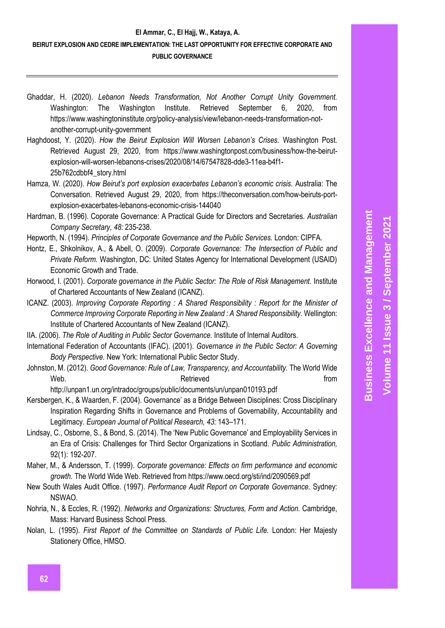- Ghaddar, H. (2020). *Lebanon Needs Transformation, Not Another Corrupt Unity Government.* Washington: The Washington Institute. Retrieved September 6, 2020, from https://www.washingtoninstitute.org/policy-analysis/view/lebanon-needs-transformation-notanother-corrupt-unity-government
- Haghdoost, Y. (2020). *How the Beirut Explosion Will Worsen Lebanon's Crises.* Washington Post. Retrieved August 29, 2020, from https://www.washingtonpost.com/business/how-the-beirutexplosion-will-worsen-lebanons-crises/2020/08/14/67547828-dde3-11ea-b4f1- 25b762cdbbf4\_story.html
- Hamza, W. (2020). *How Beirut's port explosion exacerbates Lebanon's economic crisis.* Australia: The Conversation. Retrieved August 29, 2020, from https://theconversation.com/how-beiruts-portexplosion-exacerbates-lebanons-economic-crisis-144040
- Hardman, B. (1996). Coporate Governance: A Practical Guide for Directors and Secretaries. *Australian Company Secretary, 48:* 235-238.
- Hepworth, N. (1994). *Principles of Corporate Governance and the Public Services.* London: CIPFA.
- Hontz, E., Shkolnikov, A., & Abell, O. (2009). *Corporate Governance: The Intersection of Public and Private Reform.* Washington, DC: United States Agency for International Development (USAID) Economic Growth and Trade.
- Horwood, I. (2001). *Corporate governance in the Public Sector: The Role of Risk Management.* Institute of Chartered Accountants of New Zealand (ICANZ).
- ICANZ. (2003). *Improving Corporate Reporting : A Shared Responsibility : Report for the Minister of Commerce Improving Corporate Reporting in New Zealand : A Shared Responsibility.* Wellington: Institute of Chartered Accountants of New Zealand (ICANZ).
- IIA. (2006). *The Role of Auditing in Public Sector Governance.* Institute of Internal Auditors.
- International Federation of Accountants (IFAC). (2001). *Governance in the Public Sector: A Governing Body Perspective.* New York: International Public Sector Study.
- Johnston, M. (2012). *Good Governance: Rule of Law, Transparency, and Accountability.* The World Wide Web. The contract of the Retrieved contract of the from the from  $\mathbb{R}$

http://unpan1.un.org/intradoc/groups/public/documents/un/unpan010193.pdf

- Kersbergen, K., & Waarden, F. (2004). Governance' as a Bridge Between Disciplines: Cross Disciplinary Inspiration Regarding Shifts in Governance and Problems of Governability, Accountability and Legitimacy. *European Journal of Political Research, 43:* 143–171.
- Lindsay, C., Osborne, S., & Bond, S. (2014). The 'New Public Governance' and Employability Services in an Era of Crisis: Challenges for Third Sector Organizations in Scotland. *Public Administration,*  92(1): 192-207.
- Maher, M., & Andersson, T. (1999). *Corporate governance: Effects on firm performance and economic growth.* The World Wide Web. Retrieved from https://www.oecd.org/sti/ind/2090569.pdf
- New South Wales Audit Office. (1997). *Performance Audit Report on Corporate Governance.* Sydney: NSWAO.
- Nohria, N., & Eccles, R. (1992). *Networks and Organizations: Structures, Form and Action.* Cambridge, Mass: Harvard Business School Press.
- Nolan, L. (1995). *First Report of the Committee on Standards of Public Life.* London: Her Majesty Stationery Office, HMSO.